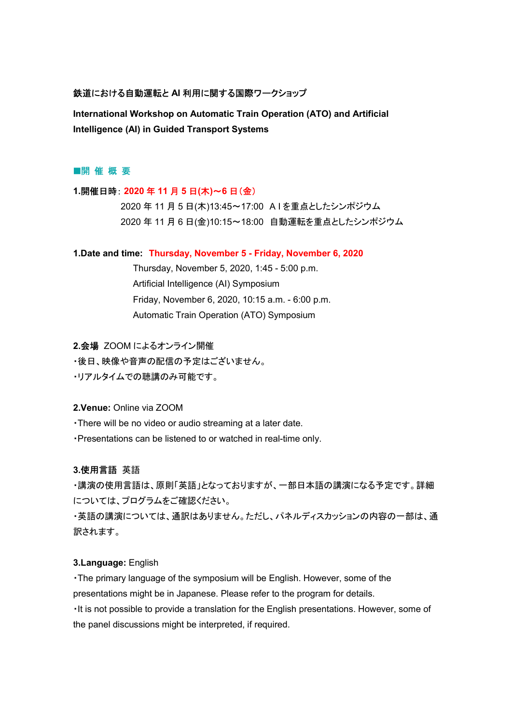# 鉄道における自動運転と AI 利用に関する国際ワークショップ

International Workshop on Automatic Train Operation (ATO) and Artificial Intelligence (AI) in Guided Transport Systems

# ■開 催 概 要

### 1.開催日時: 2020 年 11 月 5 日(木)~6 日(金)

 2020 年 11 月 5 日(木)13:45~17:00 A I を重点としたシンポジウム 2020 年 11 月 6 日(金)10:15~18:00 自動運転を重点としたシンポジウム

#### 1.Date and time: Thursday, November 5 - Friday, November 6, 2020

 Thursday, November 5, 2020, 1:45 - 5:00 p.m. Artificial Intelligence (AI) Symposium Friday, November 6, 2020, 10:15 a.m. - 6:00 p.m. Automatic Train Operation (ATO) Symposium

2.会場 ZOOM によるオンライン開催

・後日、映像や音声の配信の予定はございません。

・リアルタイムでの聴講のみ可能です。

#### 2.Venue: Online via ZOOM

・There will be no video or audio streaming at a later date.

・Presentations can be listened to or watched in real-time only.

# 3.使用言語 英語

・講演の使用言語は、原則「英語」となっておりますが、一部日本語の講演になる予定です。詳細 については、プログラムをご確認ください。

・英語の講演については、通訳はありません。ただし、パネルディスカッションの内容の一部は、通 訳されます。

## 3.Language: English

・The primary language of the symposium will be English. However, some of the presentations might be in Japanese. Please refer to the program for details.

・It is not possible to provide a translation for the English presentations. However, some of the panel discussions might be interpreted, if required.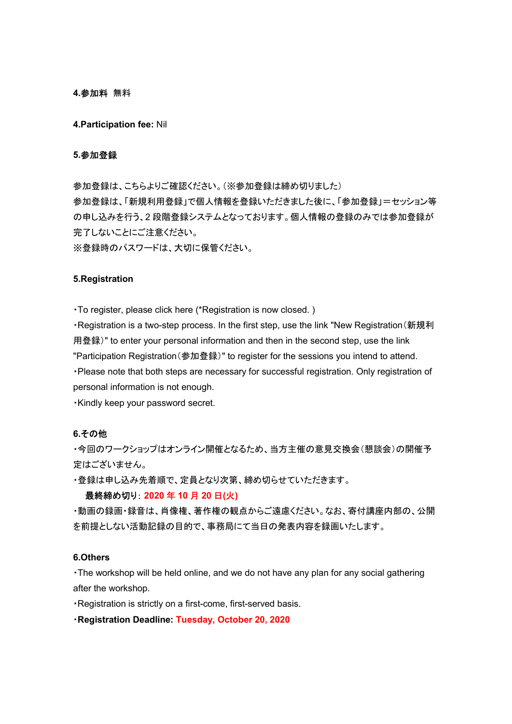### 4.参加料 無料

4.Participation fee: Nil

# 5.参加登録

参加登録は、こちらよりご確認ください。(※参加登録は締め切りました) 参加登録は、「新規利用登録」で個人情報を登録いただきました後に、「参加登録」=セッション等 の申し込みを行う、2 段階登録システムとなっております。個人情報の登録のみでは参加登録が 完了しないことにご注意ください。

※登録時のパスワードは、大切に保管ください。

#### 5.Registration

・To register, please click here (\*Registration is now closed. )

・Registration is a two-step process. In the first step, use the link "New Registration(新規利 用登録)" to enter your personal information and then in the second step, use the link "Participation Registration(参加登録)" to register for the sessions you intend to attend. ・Please note that both steps are necessary for successful registration. Only registration of personal information is not enough.

・Kindly keep your password secret.

## 6.その他

・今回のワークショップはオンライン開催となるため、当方主催の意見交換会(懇談会)の開催予 定はございません。

・登録は申し込み先着順で、定員となり次第、締め切らせていただきます。

### 最終締め切り: 2020 年 10 月 20 日(火)

・動画の録画・録音は、肖像権、著作権の観点からご遠慮ください。なお、寄付講座内部の、公開 を前提としない活動記録の目的で、事務局にて当日の発表内容を録画いたします。

#### 6.Others

・The workshop will be held online, and we do not have any plan for any social gathering after the workshop.

・Registration is strictly on a first-come, first-served basis.

・Registration Deadline: Tuesday, October 20, 2020